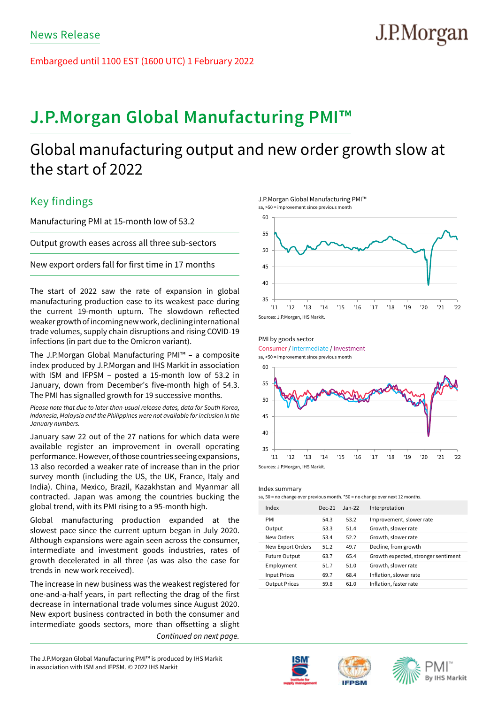Embargoed until 1100 EST (1600 UTC) 1 February 2022

# **J.P.Morgan Global Manufacturing PMI™**

# Global manufacturing output and new order growth slow at the start of 2022

## Key findings

Manufacturing PMI at 15-month low of 53.2

Output growth eases across all three sub-sectors

New export orders fall for first time in 17 months

The start of 2022 saw the rate of expansion in global manufacturing production ease to its weakest pace during the current 19-month upturn. The slowdown reflected weaker growth of incoming new work, declining international trade volumes, supply chain disruptions and rising COVID-19 infections (in part due to the Omicron variant).

The J.P.Morgan Global Manufacturing PMI™ – a composite index produced by J.P.Morgan and IHS Markit in association with ISM and IFPSM – posted a 15-month low of 53.2 in January, down from December's five-month high of 54.3. The PMI has signalled growth for 19 successive months.

*Please note that due to later-than-usual release dates, data for South Korea, Indonesia, Malaysia and the Philippines were not available for inclusion in the January numbers.*

January saw 22 out of the 27 nations for which data were available register an improvement in overall operating performance. However, of those countries seeing expansions, 13 also recorded a weaker rate of increase than in the prior survey month (including the US, the UK, France, Italy and India). China, Mexico, Brazil, Kazakhstan and Myanmar all contracted. Japan was among the countries bucking the global trend, with its PMI rising to a 95-month high.

Global manufacturing production expanded at the slowest pace since the current upturn began in July 2020. Although expansions were again seen across the consumer, intermediate and investment goods industries, rates of growth decelerated in all three (as was also the case for trends in new work received).

The increase in new business was the weakest registered for one-and-a-half years, in part reflecting the drag of the first decrease in international trade volumes since August 2020. New export business contracted in both the consumer and intermediate goods sectors, more than offsetting a slight *Continued on next page.*

in association with ISM and IFPSM. © 2022 IHS Markit The J.P.Morgan Global Manufacturing PMI™ is produced by IHS Markit

J.P.Morgan Global Manufacturing PMI™



PMI by goods sector

Consumer / Intermediate / Investment

sa, >50 = improvement since previous month



#### Index summary

sa, 50 = no change over previous month. \*50 = no change over next 12 months

| Index                | $Dec-21$ | $Jan-22$ | Interpretation                      |
|----------------------|----------|----------|-------------------------------------|
| PMI                  | 54.3     | 53.2     | Improvement, slower rate            |
| Output               | 53.3     | 51.4     | Growth, slower rate                 |
| New Orders           | 53.4     | 52.2     | Growth, slower rate                 |
| New Export Orders    | 51.2     | 49.7     | Decline, from growth                |
| <b>Future Output</b> | 63.7     | 65.4     | Growth expected, stronger sentiment |
| Employment           | 51.7     | 51.0     | Growth, slower rate                 |
| <b>Input Prices</b>  | 69.7     | 68.4     | Inflation, slower rate              |
| <b>Output Prices</b> | 59.8     | 61.0     | Inflation, faster rate              |
|                      |          |          |                                     |







# J.P.Morgan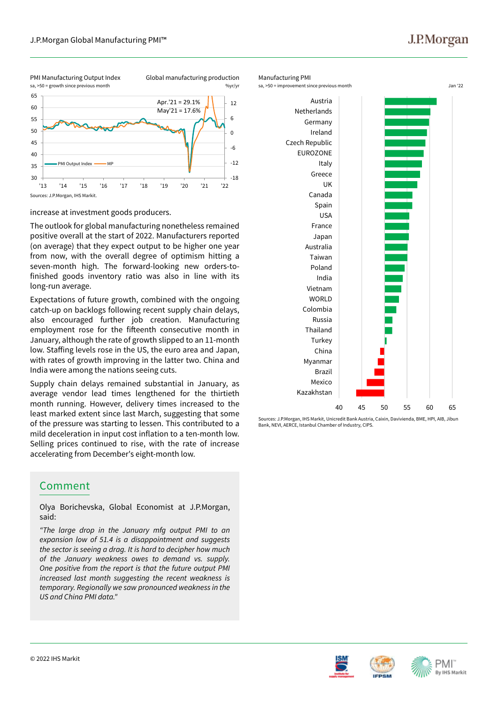## J.P.Morgan

PMI Manufacturing Output Index sa, >50 = growth since previous month

Global manufacturing production



increase at investment goods producers.

The outlook for global manufacturing nonetheless remained positive overall at the start of 2022. Manufacturers reported (on average) that they expect output to be higher one year from now, with the overall degree of optimism hitting a seven-month high. The forward-looking new orders-tofinished goods inventory ratio was also in line with its long-run average.

Expectations of future growth, combined with the ongoing catch-up on backlogs following recent supply chain delays, also encouraged further job creation. Manufacturing employment rose for the fifteenth consecutive month in January, although the rate of growth slipped to an 11-month low. Staffing levels rose in the US, the euro area and Japan, with rates of growth improving in the latter two. China and India were among the nations seeing cuts.

Supply chain delays remained substantial in January, as average vendor lead times lengthened for the thirtieth month running. However, delivery times increased to the least marked extent since last March, suggesting that some of the pressure was starting to lessen. This contributed to a mild deceleration in input cost inflation to a ten-month low. Selling prices continued to rise, with the rate of increase accelerating from December's eight-month low.

## Comment

Olya Borichevska, Global Economist at J.P.Morgan, said:

*"The large drop in the January mfg output PMI to an expansion low of 51.4 is a disappointment and suggests the sector is seeing a drag. It is hard to decipher how much of the January weakness owes to demand vs. supply. One positive from the report is that the future output PMI increased last month suggesting the recent weakness is temporary. Regionally we saw pronounced weakness in the US and China PMI data."* 



Sources: J.P.Morgan, IHS Markit, Unicredit Bank Austria, Caixin, Davivienda, BME, HPI, AIB, Jibun Bank, NEVI, AERCE, Istanbul Chamber of Industry, CIPS.





PMI **By IHS Markit**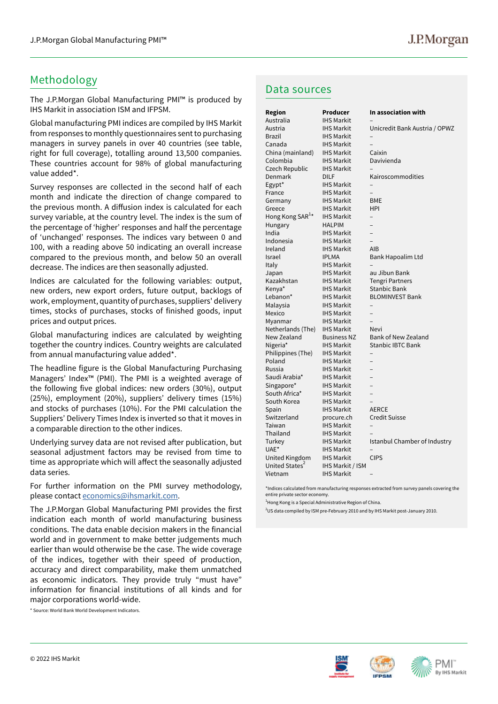## Methodology

The J.P.Morgan Global Manufacturing PMI™ is produced by IHS Markit in association ISM and IFPSM.

Global manufacturing PMI indices are compiled by IHS Markit from responses to monthly questionnaires sent to purchasing managers in survey panels in over 40 countries (see table, right for full coverage), totalling around 13,500 companies. These countries account for 98% of global manufacturing value added\*.

Survey responses are collected in the second half of each month and indicate the direction of change compared to the previous month. A diffusion index is calculated for each survey variable, at the country level. The index is the sum of the percentage of 'higher' responses and half the percentage of 'unchanged' responses. The indices vary between 0 and 100, with a reading above 50 indicating an overall increase compared to the previous month, and below 50 an overall decrease. The indices are then seasonally adjusted.

Indices are calculated for the following variables: output, new orders, new export orders, future output, backlogs of work, employment, quantity of purchases, suppliers' delivery times, stocks of purchases, stocks of finished goods, input prices and output prices.

Global manufacturing indices are calculated by weighting together the country indices. Country weights are calculated from annual manufacturing value added\*.

The headline figure is the Global Manufacturing Purchasing Managers' Index™ (PMI). The PMI is a weighted average of the following five global indices: new orders (30%), output (25%), employment (20%), suppliers' delivery times (15%) and stocks of purchases (10%). For the PMI calculation the Suppliers' Delivery Times Index is inverted so that it moves in a comparable direction to the other indices.

Underlying survey data are not revised after publication, but seasonal adjustment factors may be revised from time to time as appropriate which will affect the seasonally adjusted data series.

For further information on the PMI survey methodology, please contact economics@ihsmarkit.com.

The J.P.Morgan Global Manufacturing PMI provides the first indication each month of world manufacturing business conditions. The data enable decision makers in the financial world and in government to make better judgements much earlier than would otherwise be the case. The wide coverage of the indices, together with their speed of production, accuracy and direct comparability, make them unmatched as economic indicators. They provide truly "must have" information for financial institutions of all kinds and for major corporations world-wide.

\* Source: World Bank World Development Indicators.

#### Data sources

| <b>Region</b>                | <b>Producer</b>    | In association with           |
|------------------------------|--------------------|-------------------------------|
| Australia                    | <b>IHS Markit</b>  |                               |
| Austria                      | <b>IHS Markit</b>  | Unicredit Bank Austria / OPWZ |
| <b>Brazil</b>                | <b>IHS Markit</b>  |                               |
| Canada                       | <b>IHS Markit</b>  |                               |
| China (mainland)             | <b>IHS Markit</b>  | Caixin                        |
| Colombia                     | <b>IHS Markit</b>  | Davivienda                    |
| Czech Republic               | <b>IHS Markit</b>  |                               |
| Denmark                      | <b>DILF</b>        | Kairoscommodities             |
| Egypt*                       | <b>IHS Markit</b>  |                               |
| France                       | <b>IHS Markit</b>  | $\overline{\phantom{0}}$      |
| Germany                      | <b>IHS Markit</b>  | <b>BME</b>                    |
| Greece                       | <b>IHS Markit</b>  | <b>HPI</b>                    |
| Hong Kong SAR <sup>1</sup> * | <b>IHS Markit</b>  |                               |
| Hungary                      | <b>HALPIM</b>      | $\overline{\phantom{0}}$      |
| India                        | <b>IHS Markit</b>  |                               |
| Indonesia                    | <b>IHS Markit</b>  | $\overline{a}$                |
| Ireland                      | <b>IHS Markit</b>  | AIB                           |
| Israel                       | <b>IPLMA</b>       | Bank Hapoalim Ltd             |
| Italy                        | <b>IHS Markit</b>  |                               |
| Japan                        | <b>IHS Markit</b>  | au Jibun Bank                 |
| Kazakhstan                   | <b>IHS Markit</b>  | <b>Tengri Partners</b>        |
| Kenya*                       | <b>IHS Markit</b>  | <b>Stanbic Bank</b>           |
| Lebanon*                     | <b>IHS Markit</b>  | <b>BLOMINVEST Bank</b>        |
| Malaysia                     | <b>IHS Markit</b>  |                               |
| Mexico                       | <b>IHS Markit</b>  |                               |
| Myanmar                      | <b>IHS Markit</b>  |                               |
| Netherlands (The)            | <b>IHS Markit</b>  | Nevi                          |
| New Zealand                  | <b>Business NZ</b> | <b>Bank of New Zealand</b>    |
| Nigeria*                     | <b>IHS Markit</b>  | Stanbic IBTC Bank             |
| Philippines (The)            | <b>IHS Markit</b>  |                               |
| Poland                       | <b>IHS Markit</b>  |                               |
| Russia                       | <b>IHS Markit</b>  |                               |
| Saudi Arabia*                | <b>IHS Markit</b>  | $\overline{\phantom{0}}$      |
| Singapore*                   | <b>IHS Markit</b>  |                               |
| South Africa*                | <b>IHS Markit</b>  |                               |
| South Korea                  | <b>IHS Markit</b>  |                               |
| Spain                        | <b>IHS Markit</b>  | <b>AERCE</b>                  |
| Switzerland                  | procure.ch         | <b>Credit Suisse</b>          |
| Taiwan                       | <b>IHS Markit</b>  |                               |
| Thailand                     | <b>IHS Markit</b>  |                               |
| Turkey                       | <b>IHS Markit</b>  | Istanbul Chamber of Industry  |
| UAE*                         | <b>IHS Markit</b>  |                               |
| United Kingdom               | <b>IHS Markit</b>  | <b>CIPS</b>                   |
| United States <sup>2</sup>   | IHS Markit / ISM   |                               |
| Vietnam                      | <b>IHS Markit</b>  |                               |
|                              |                    |                               |

\*Indices calculated from manufacturing responses extracted from survey panels covering the entire private sector economy.

<sup>1</sup>Hong Kong is a Special Administrative Region of China.

<sup>2</sup>US data compiled by ISM pre-February 2010 and by IHS Markit post-January 2010.